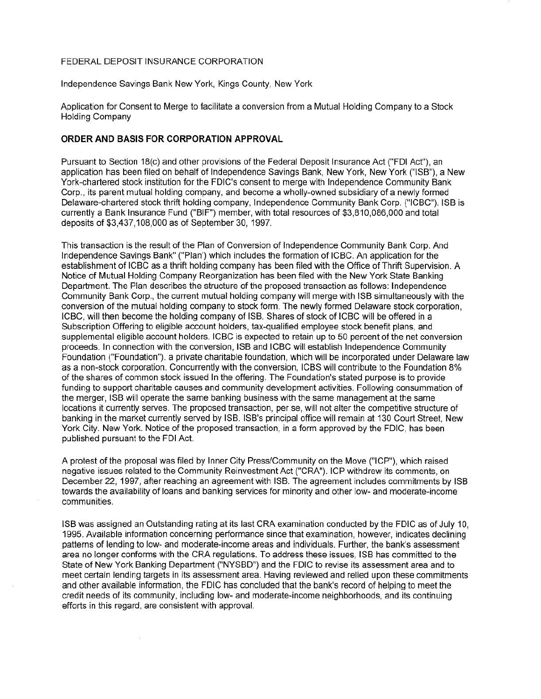## FEDERAL DEPOSIT INSURANCE CORPORATION

Independence Savings Bank New York, Kings County, New York

Application for Consent to Merge to facilitate a conversion from a Mutual Holding Company to a Stock Holding Company

## **ORDER AND BASIS FOR CORPORATION APPROVAL**

Pursuant to Section 18(c) and other provisions of the Federal Deposit Insurance Act ("FDI Act"), an application has been filed on behalf of Independence Savings Bank, New York, New York ("ISB"), a New York-chartered stock institution for the FDIC's consent to merge with Independence Community Bank Corp., its parent mutual holding company, and become a wholly-owned subsidiary of a newly formed Delaware-chartered stock thrift holding company, Independence Community Bank Corp. ("ICBC"). ISB is currently a Bank Insurance Fund ("BIF") member, with total resources of \$3,810,086,000 and total deposits of \$3,437,108,000 as of September 30, 1997.

This transaction is the result of the Plan of Conversion of Independence Community Bank Corp. And Independence Savings Bank" ("Plan') which includes the formation of ICBC. An application for the establishment of ICBC as a thrift holding company has been filed with the Office of Thrift Supervision. A Notice of Mutual Holding Company Reorganization has been filed with the New York State Banking Department. The Plan describes the structure of the proposed transaction as follows: Independence Community Bank Corp., the current mutual holding company will merge with ISB simultaneously with the conversion of the mutual holding company to stock form. The newly formed Delaware stock corporation, ICBC, will then become the holding company of ISB. Shares of stock of ICBC will be offered in a Subscription Offering to eligible account holders, tax-qualified employee stock benefit plans, and supplemental eligible account holders. ICBC is expected to retain up to 50 percent of the net conversion proceeds. In connection with the conversion, ISB and ICBC will establish Independence Community Foundation ("Foundation"). a private charitable foundation, which will be incorporated under Delaware law as a non-stock corporation. Concurrently with the conversion, ICBS will contribute to the Foundation 8% of the shares of common stock issued In the offering. The Foundation's stated purpose is to provide funding to support charitable causes and community development activities. Following consummation of the merger, ISB will operate the same banking business with the same management at the same locations it currently serves. The proposed transaction, per se, will not alter the competitive structure of banking in the market currently served by ISB. ISS's principal office will remain at 130 Court Street, New York City. New York. Notice of the proposed transaction, in a form approved by the FDIC, has been published pursuant to the FDI Act.

A protest of the proposal was filed by Inner City Press/Community on the Move ("ICP"), which raised negative issues related to the Community Reinvestment Act ("CRA"). ICP withdrew its comments, on December 22, 1997, after reaching an agreement with ISB. The agreement includes commitments by ISB towards the availability of loans and banking services for minority and other low- and moderate-income communities.

ISB was assigned an Outstanding rating at its last CRA examination conducted by the FDIC as of July 10, 1995. Available information concerning performance since that examination, however, indicates declining patterns of lending to low- and moderate-income areas and individuals. Further, the bank's assessment area no longer conforms with the CRA regulations. To address these issues, ISB has committed to the State of New York Banking Department ("NYSBD") and the FDIC to revise its assessment area and to meet certain lending targets in its assessment area. Having reviewed and relied upon these commitments and other available information, the FDIC has concluded that the bank's record of helping to meet the credit needs of its community, including low- and moderate-income neighborhoods, and its continuing efforts in this regard, are consistent with approval.